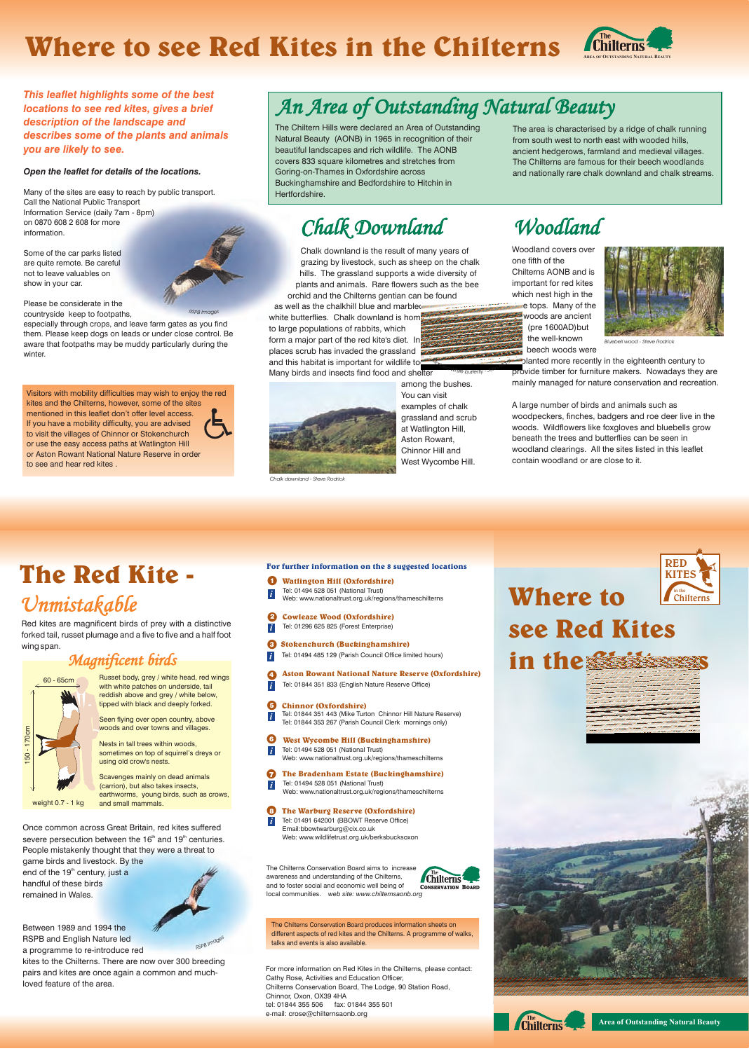For more information on Red Kites in the Chilterns, please contact: Cathy Rose, Activities and Education Officer, Chilterns Conservation Board, The Lodge, 90 Station Road, Chinnor, Oxon, OX39 4HA tel: 01844 355 506 fax: 01844 355 501 e-mail: crose@chilternsaonb.org





The Chilterns Conservation Board produces information sheets on different aspects of red kites and the Chilterns. A programme of walks, talks and events is also available.

# **see Red Kites in the Chilterns**





The Chilterns Conservation Board aims to increase awareness and understanding of the Chilterns, and to foster social and economic well being of local communities. *web site: www.chilternsaonb.org*



**Where to** 



Once common across Great Britain, red kites suffered severe persecution between the  $16<sup>th</sup>$  and  $19<sup>th</sup>$  centuries. People mistakenly thought that they were a threat to game birds and livestock. By the end of the  $19<sup>th</sup>$  century, just a handful of these birds remained in Wales.

**Chinnor (Oxfordshire)** *i* 5 Tel: 01844 351 443 (Mike Turton Chinnor Hill Nature Reserve) Tel: 01844 353 267 (Parish Council Clerk mornings only)

**h** The Bradenham Estate (Buckinghamshire) *i*

(carrion), but also takes insects, earthworms, young birds, such as crows, weight 0.7 - 1 kg and small mammals.

- *i* Tel: 01494 485 129 (Parish Council Office limited hours) l<sup>3</sup> **Stokenchurch (Buckinghamshire)**
- **4 Aston Rowant National Nature Reserve (Oxfordshire)**<br>1 Tol: 01944.251.922 (English Nature Besons Office)
- *i* Tel: 01844 351 833 (English Nature Reserve Office)
- **For further information on the 8 suggested locations**
- *i* Tel: 01494 528 051 (National Trust) Web: www.nationaltrust.org.uk/regions/thameschilterns **1** Watlington Hill (Oxfordshire)
- *i* l<sup>2</sup> **Cowleaze Wood (Oxfordshire)** Tel: 01296 625 825 (Forest Enterprise)

l<sup>6</sup> **West Wycombe Hill (Buckinghamshire)** Tel: 01494 528 051 (National Trust) Web: www.nationaltrust.org.uk/regions/thameschilterns

*i*

Between 1989 and 1994 the RSPB and English Nature led a programme to re-introduce red kites to the Chilterns. There are now over 300 breeding pairs and kites are once again a common and muchloved feature of the area. *RSP s <sup>B</sup> <sup>I</sup> <sup>a</sup>g<sup>e</sup> m*

Tel: 01494 528 051 (National Trust) Web: www.nationaltrust.org.uk/regions/thameschilterns

### **8 The Warburg Reserve (Oxfordshire)**<br>The 01401 642001 (BBOWT Reserve Office)

Tel: 01491 642001 (BBOWT Reserve Office) Email:bbowtwarburg@cix.co.uk Web: www.wildlifetrust.org.uk/berksbucksoxon *i*



Russet body, grey / white head, red wings with white patches on underside, tail reddish above and grey / white below, tipped with black and deeply forked.

Seen flying over open country, above woods and over towns and villages.

Nests in tall trees within woods, sometimes on top of squirrel's dreys or using old crow's nests.

Scavenges mainly on dead animals

## **The Red Kite -** *Unmistakable*

Red kites are magnificent birds of prey with a distinctive forked tail, russet plumage and a five to five and a half foot wing span.

### *Magnificent birds*

**Area of Outstanding Natural Beauty**

## **Where to see Red Kites in the Chilterns**

#### *Open the leaflet for details of the locations.*

Many of the sites are easy to reach by public transport. Call the National Public Transport Information Service (daily 7am - 8pm) on 0870 608 2 608 for more information.

Some of the car parks listed are quite remote. Be careful not to leave valuables on show in your car.

Please be considerate in the

*This leaflet highlights some of the best locations to see red kites, gives a brief description of the landscape and describes some of the plants and animals you are likely to see.*





The Chiltern Hills were declared an Area of Outstanding Natural Beauty (AONB) in 1965 in recognition of their beautiful landscapes and rich wildlife. The AONB covers 833 square kilometres and stretches from Goring-on-Thames in Oxfordshire across Buckinghamshire and Bedfordshire to Hitchin in Hertfordshire.

The area is characterised by a ridge of chalk running from south west to north east with wooded hills, ancient hedgerows, farmland and medieval villages. The Chilterns are famous for their beech woodlands and nationally rare chalk downland and chalk streams.

Woodland covers over one fifth of the Chilterns AONB and is important for red kites which nest high in the tree tops. Many of the woods are ancient (pre 1600AD)but the well-known beech woods were

countryside keep to footpaths, especially through crops, and leave farm gates as you find them. Please keep dogs on leads or under close control. Be aware that footpaths may be muddy particularly during the winter. *RSP<sup>B</sup> <sup>I</sup>mages*

> A large number of birds and animals such as woodpeckers, finches, badgers and roe deer live in the woods. Wildflowers like foxgloves and bluebells grow beneath the trees and butterflies can be seen in woodland clearings. All the sites listed in this leaflet contain woodland or are close to it.

Chalk downland is the result of many years of grazing by livestock, such as sheep on the chalk hills. The grassland supports a wide diversity of plants and animals. Rare flowers such as the bee orchid and the Chilterns gentian can be found

> planted more recently in the eighteenth century to provide timber for furniture makers. Nowadays they are mainly managed for nature conservation and recreation. *<sup>i</sup>sr<sup>r</sup>*

## *Chalk Downland Woodland*

as well as the chalkhill blue and marbled white butterflies. Chalk downland is home to large populations of rabbits, which form a major part of the red kite's diet. In places scrub has invaded the grassland and this habitat is important for wildlife too. Many birds and insects find food and shelter *M<sup>a</sup>*



among the bushes. You can visit examples of chalk grassland and scrub at Watlington Hill, Aston Rowant, Chinnor Hill and West Wycombe Hill. *ed Wh Joh it<sup>e</sup> b<sup>u</sup> fly tter*

Visitors with mobility difficulties may wish to enjoy the red kites and the Chilterns, however, some of the sites mentioned in this leaflet don't offer level access. If you have a mobility difficulty, you are advised to visit the villages of Chinnor or Stokenchurch or use the easy access paths at Watlington Hill or Aston Rowant National Nature Reserve in order to see and hear red kites .

*Chalk downland - Steve Rodrick*



*Bluebell wood - Steve Rodrick*

*<sup>r</sup>bl*

*o*

*<sup>n</sup> M*